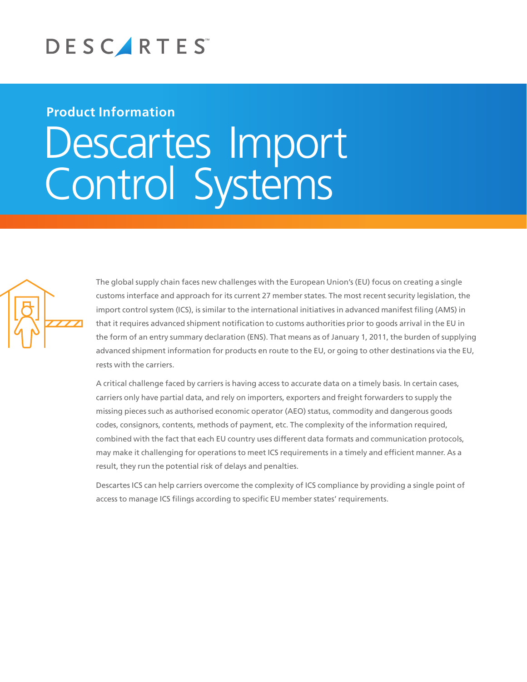

## **Product Information**

## Descartes Import Control Systems



The global supply chain faces new challenges with the European Union's (EU) focus on creating a single customs interface and approach for its current 27 member states. The most recent security legislation, the import control system (ICS), is similar to the international initiatives in advanced manifest filing (AMS) in that it requires advanced shipment notification to customs authorities prior to goods arrival in the EU in the form of an entry summary declaration (ENS). That means as of January 1, 2011, the burden of supplying advanced shipment information for products en route to the EU, or going to other destinations via the EU, rests with the carriers.

A critical challenge faced by carriers is having access to accurate data on a timely basis. In certain cases, carriers only have partial data, and rely on importers, exporters and freight forwarders to supply the missing pieces such as authorised economic operator (AEO) status, commodity and dangerous goods codes, consignors, contents, methods of payment, etc. The complexity of the information required, combined with the fact that each EU country uses different data formats and communication protocols, may make it challenging for operations to meet ICS requirements in a timely and efficient manner. As a result, they run the potential risk of delays and penalties.

Descartes ICS can help carriers overcome the complexity of ICS compliance by providing a single point of access to manage ICS filings according to specific EU member states' requirements.